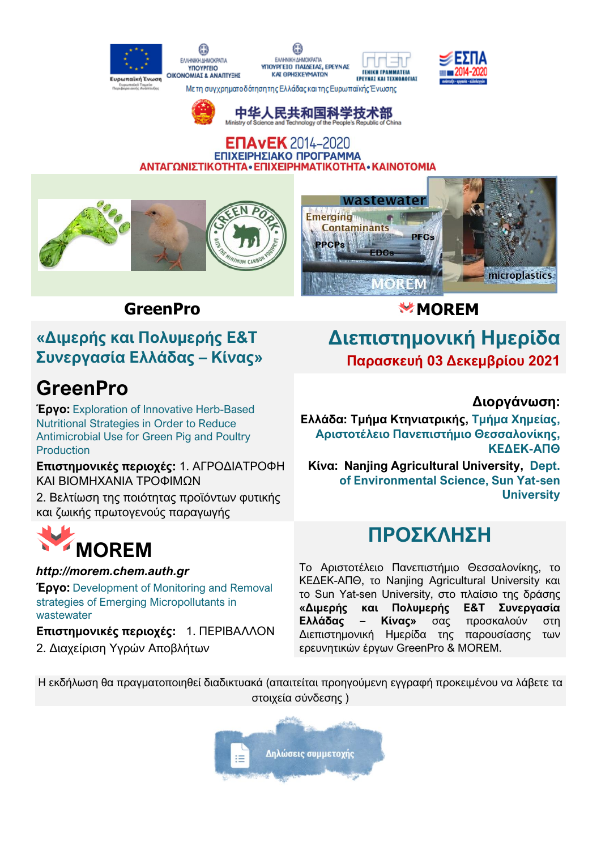#### O EMHNIKHAHMOKPATIA FAAHNIKH AHMOKRATIA **YROYPFEIO TENIKH FPAMMATEIA** OIKONOMIAT & ANARTYERS **KAI OPHEKEYMATON** EPEYNAI KAI TEXNOAOFIAI υρωπαϊκή Ένωση Με τη συγχρηματο δότηση της Ελλάδας και της Ευρωπαϊκής Ένωσης



中华人民共和国科学技术部

### **ENAVEK** 2014-2020 ΕΠΙΧΕΙΡΗΣΙΑΚΟ ΠΡΟΓΡΑΜΜΑ ΑΝΤΑΓΩΝΙΣΤΙΚΟΤΗΤΑ • ΕΠΙΧΕΙΡΗΜΑΤΙΚΟΤΗΤΑ • ΚΑΙΝΟΤΟΜΙΑ



## **«Διμερής και Πολυμερής Ε&Τ Συνεργασία Ελλάδας – Κίνας»**

# **GreenPro**

**Έργο:** Exploration of Innovative Herb-Based Nutritional Strategies in Order to Reduce Antimicrobial Use for Green Pig and Poultry Production

**Επιστημονικές περιοχές:** 1. ΑΓΡΟΔΙΑΤΡΟΦΗ ΚΑΙ ΒΙΟΜΗΧΑΝΙΑ ΤΡΟΦΙΜΩΝ

2. Βελτίωση της ποιότητας προϊόντων φυτικής και ζωικής πρωτογενούς παραγωγής

# **MOREM**

### *http://morem.chem.auth.gr*

**Έργο:** Development of Monitoring and Removal strategies of Emerging Micropollutants in wastewater

**Επιστημονικές περιοχές:** 1. ΠΕΡΙΒΑΛΛΟΝ 2. Διαχείριση Υγρών Αποβλήτων

## **GreenPro MOREM**

## **Διεπιστημονική Ημερίδα Παρασκευή 03 Δεκεμβρίου 2021**

### **Διοργάνωση:**

**Ελλάδα: Τμήμα Κτηνιατρικής, Τμήμα Χημείας, Αριστοτέλειο Πανεπιστήμιο Θεσσαλονίκης, ΚΕΔΕΚ-ΑΠΘ**

**Κίνα: Nanjing Agricultural University, Dept. of Environmental Science, Sun Yat-sen University**

## **ΠΡΟΣΚΛΗΣΗ**

To Αριστοτέλειο Πανεπιστήμιο Θεσσαλονίκης, το ΚΕΔΕΚ-ΑΠΘ, το Nanjing Agricultural University και το Sun Yat-sen University, στο πλαίσιο της δράσης **«Διμερής και Πολυμερής Ε&Τ Συνεργασία Ελλάδας – Κίνας»** σας προσκαλούν στη Διεπιστημονική Ημερίδα της παρουσίασης των ερευνητικών έργων GreenPro & MOREM.

Η εκδήλωση θα πραγματοποιηθεί διαδικτυακά (απαιτείται προηγούμενη εγγραφή προκειμένου να λάβετε τα στοιχεία σύνδεσης )

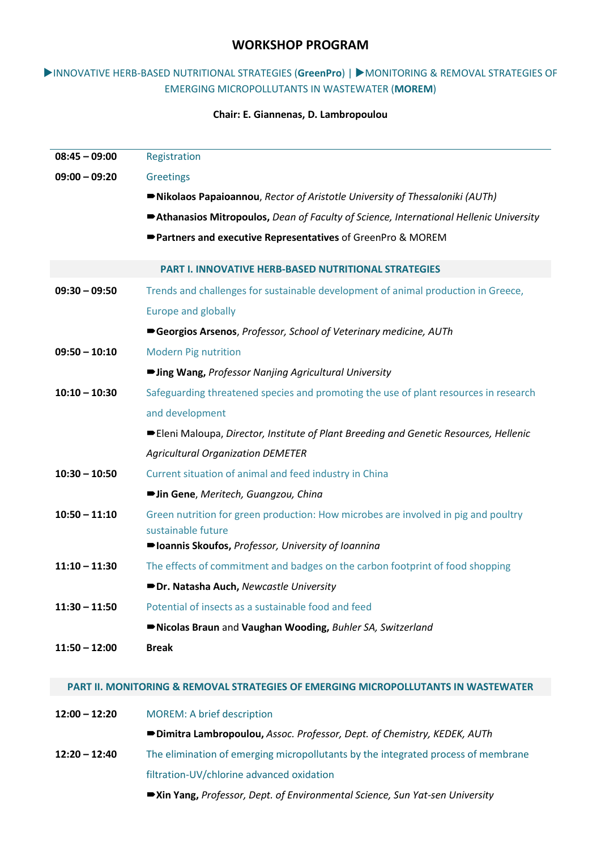### **WORKSHOP PROGRAM**

### INNOVATIVE HERB-BASED NUTRITIONAL STRATEGIES (**GreenPro**) | MONITORING & REMOVAL STRATEGIES OF EMERGING MICROPOLLUTANTS IN WASTEWATER (**MOREM**)

### **Chair: E. Giannenas, D. Lambropoulou**

| $08:45 - 09:00$ | Registration                                                                           |
|-----------------|----------------------------------------------------------------------------------------|
| $09:00 - 09:20$ | <b>Greetings</b>                                                                       |
|                 | ■Nikolaos Papaioannou, Rector of Aristotle University of Thessaloniki (AUTh)           |
|                 | Athanasios Mitropoulos, Dean of Faculty of Science, International Hellenic University  |
|                 | Partners and executive Representatives of GreenPro & MOREM                             |
|                 | <b>PART I. INNOVATIVE HERB-BASED NUTRITIONAL STRATEGIES</b>                            |
| $09:30 - 09:50$ | Trends and challenges for sustainable development of animal production in Greece,      |
|                 | <b>Europe and globally</b>                                                             |
|                 | Georgios Arsenos, Professor, School of Veterinary medicine, AUTh                       |
| $09:50 - 10:10$ | <b>Modern Pig nutrition</b>                                                            |
|                 | ■ Jing Wang, Professor Nanjing Agricultural University                                 |
| $10:10 - 10:30$ | Safeguarding threatened species and promoting the use of plant resources in research   |
|                 | and development                                                                        |
|                 | ■ Eleni Maloupa, Director, Institute of Plant Breeding and Genetic Resources, Hellenic |
|                 | <b>Agricultural Organization DEMETER</b>                                               |
| $10:30 - 10:50$ | Current situation of animal and feed industry in China                                 |
|                 | • Jin Gene, Meritech, Guangzou, China                                                  |
| $10:50 - 11:10$ | Green nutrition for green production: How microbes are involved in pig and poultry     |
|                 | sustainable future                                                                     |
|                 | ■ Ioannis Skoufos, Professor, University of Ioannina                                   |
| $11:10 - 11:30$ | The effects of commitment and badges on the carbon footprint of food shopping          |
|                 | Dr. Natasha Auch, Newcastle University                                                 |
| $11:30 - 11:50$ | Potential of insects as a sustainable food and feed                                    |
|                 | Nicolas Braun and Vaughan Wooding, Buhler SA, Switzerland                              |
| $11:50 - 12:00$ | <b>Break</b>                                                                           |

#### **PART II. MONITORING & REMOVAL STRATEGIES OF EMERGING MICROPOLLUTANTS IN WASTEWATER**

| $12:00 - 12:20$ | <b>MOREM: A brief description</b>                                                 |
|-----------------|-----------------------------------------------------------------------------------|
|                 | ■Dimitra Lambropoulou, Assoc. Professor, Dept. of Chemistry, KEDEK, AUTh          |
| $12:20 - 12:40$ | The elimination of emerging micropollutants by the integrated process of membrane |
|                 | filtration-UV/chlorine advanced oxidation                                         |
|                 |                                                                                   |

**Xin Yang,** *Professor, Dept. of Environmental Science, Sun Yat-sen University*